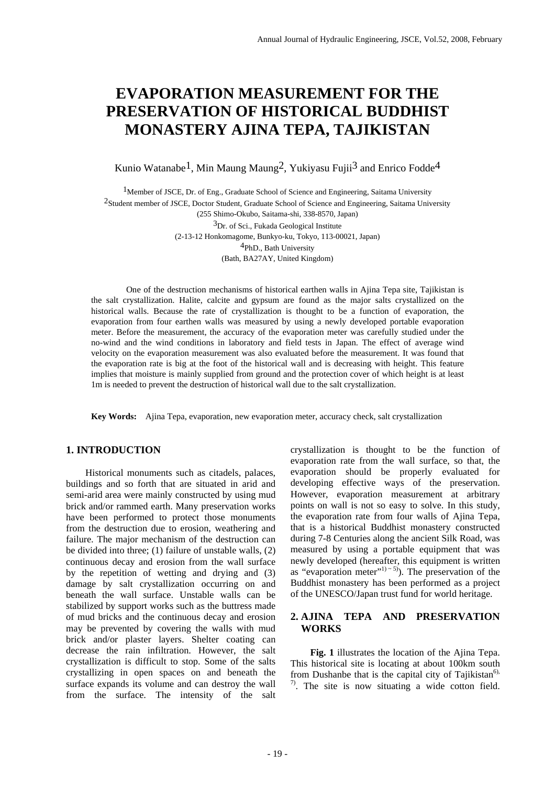# **EVAPORATION MEASUREMENT FOR THE PRESERVATION OF HISTORICAL BUDDHIST MONASTERY AJINA TEPA, TAJIKISTAN**

Kunio Watanabe<sup>1</sup>, Min Maung Maung<sup>2</sup>, Yukiyasu Fujii<sup>3</sup> and Enrico Fodde<sup>4</sup>

 $<sup>1</sup>$ Member of JSCE, Dr. of Eng., Graduate School of Science and Engineering, Saitama University</sup> 2Student member of JSCE, Doctor Student, Graduate School of Science and Engineering, Saitama University (255 Shimo-Okubo, Saitama-shi, 338-8570, Japan)  ${}^{3}Dr.$  of Sci., Fukada Geological Institute (2-13-12 Honkomagome, Bunkyo-ku, Tokyo, 113-00021, Japan) 4PhD., Bath University

(Bath, BA27AY, United Kingdom)

 One of the destruction mechanisms of historical earthen walls in Ajina Tepa site, Tajikistan is the salt crystallization. Halite, calcite and gypsum are found as the major salts crystallized on the historical walls. Because the rate of crystallization is thought to be a function of evaporation, the evaporation from four earthen walls was measured by using a newly developed portable evaporation meter. Before the measurement, the accuracy of the evaporation meter was carefully studied under the no-wind and the wind conditions in laboratory and field tests in Japan. The effect of average wind velocity on the evaporation measurement was also evaluated before the measurement. It was found that the evaporation rate is big at the foot of the historical wall and is decreasing with height. This feature implies that moisture is mainly supplied from ground and the protection cover of which height is at least 1m is needed to prevent the destruction of historical wall due to the salt crystallization.

**Key Words:** Ajina Tepa, evaporation, new evaporation meter, accuracy check, salt crystallization

### **1. INTRODUCTION**

 Historical monuments such as citadels, palaces, buildings and so forth that are situated in arid and semi-arid area were mainly constructed by using mud brick and/or rammed earth. Many preservation works have been performed to protect those monuments from the destruction due to erosion, weathering and failure. The major mechanism of the destruction can be divided into three; (1) failure of unstable walls, (2) continuous decay and erosion from the wall surface by the repetition of wetting and drying and (3) damage by salt crystallization occurring on and beneath the wall surface. Unstable walls can be stabilized by support works such as the buttress made of mud bricks and the continuous decay and erosion may be prevented by covering the walls with mud brick and/or plaster layers. Shelter coating can decrease the rain infiltration. However, the salt crystallization is difficult to stop. Some of the salts crystallizing in open spaces on and beneath the surface expands its volume and can destroy the wall from the surface. The intensity of the salt

crystallization is thought to be the function of evaporation rate from the wall surface, so that, the evaporation should be properly evaluated for developing effective ways of the preservation. However, evaporation measurement at arbitrary points on wall is not so easy to solve. In this study, the evaporation rate from four walls of Ajina Tepa, that is a historical Buddhist monastery constructed during 7-8 Centuries along the ancient Silk Road, was measured by using a portable equipment that was newly developed (hereafter, this equipment is written as "evaporation meter"<sup>1) ~ 5</sup>). The preservation of the Buddhist monastery has been performed as a project of the UNESCO/Japan trust fund for world heritage.

# **2. AJINA TEPA AND PRESERVATION WORKS**

**Fig. 1** illustrates the location of the Ajina Tepa. This historical site is locating at about 100km south from Dushanbe that is the capital city of Tajikistan<sup>6),</sup>  $\frac{7}{2}$ . The site is now situating a wide cotton field.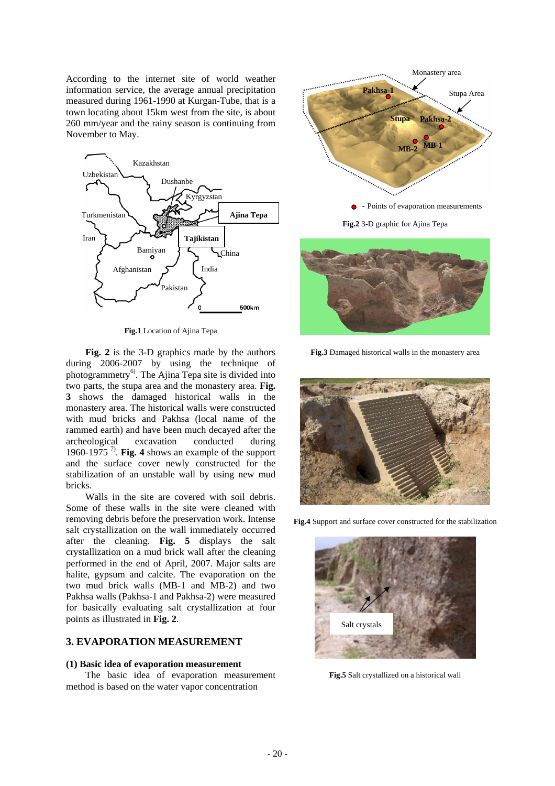According to the internet site of world weather information service, the average annual precipitation measured during 1961-1990 at Kurgan-Tube, that is a town locating about 15km west from the site, is about 260 mm/year and the rainy season is continuing from November to May.



**Fig.1** Location of Ajina Tepa

 **Fig. 2** is the 3-D graphics made by the authors during 2006-2007 by using the technique of photogrammetry<sup>6)</sup>. The Ajina Tepa site is divided into two parts, the stupa area and the monastery area. **Fig. 3** shows the damaged historical walls in the monastery area. The historical walls were constructed with mud bricks and Pakhsa (local name of the rammed earth) and have been much decayed after the archeological excavation conducted during 1960-1975 7). **Fig. 4** shows an example of the support and the surface cover newly constructed for the stabilization of an unstable wall by using new mud bricks.

 Walls in the site are covered with soil debris. Some of these walls in the site were cleaned with removing debris before the preservation work. Intense salt crystallization on the wall immediately occurred after the cleaning. **Fig. 5** displays the salt crystallization on a mud brick wall after the cleaning performed in the end of April, 2007. Major salts are halite, gypsum and calcite. The evaporation on the two mud brick walls (MB-1 and MB-2) and two Pakhsa walls (Pakhsa-1 and Pakhsa-2) were measured for basically evaluating salt crystallization at four points as illustrated in **Fig. 2**.

### **3. EVAPORATION MEASUREMENT**

#### **(1) Basic idea of evaporation measurement**

 The basic idea of evaporation measurement method is based on the water vapor concentration





**Fig.3** Damaged historical walls in the monastery area



**Fig.4** Support and surface cover constructed for the stabilization



**Fig.5** Salt crystallized on a historical wall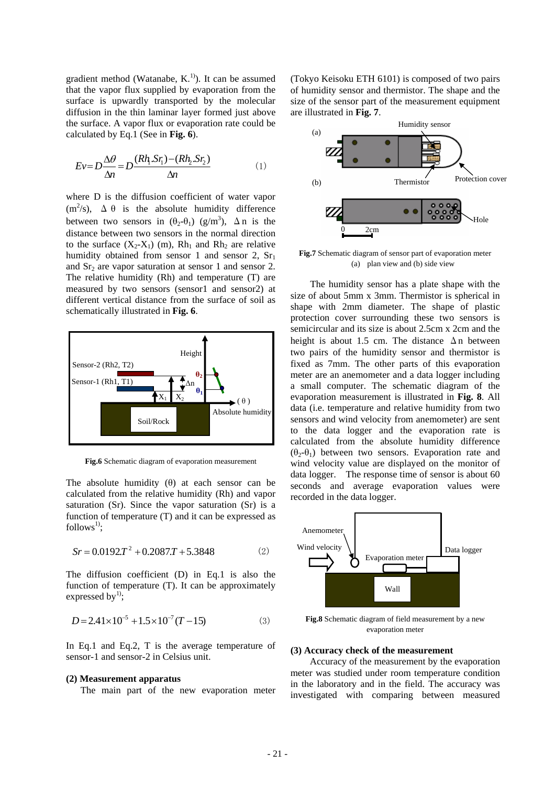gradient method (Watanabe,  $K<sup>1</sup>$ ). It can be assumed that the vapor flux supplied by evaporation from the surface is upwardly transported by the molecular diffusion in the thin laminar layer formed just above the surface. A vapor flux or evaporation rate could be calculated by Eq.1 (See in **Fig. 6**).

$$
Ev = D\frac{\Delta\theta}{\Delta n} = D\frac{(Rh_1.Sr_1) - (Rh_2.Sr_2)}{\Delta n}
$$
 (1)

where D is the diffusion coefficient of water vapor  $(m^2/s)$ ,  $\Delta \theta$  is the absolute humidity difference between two sensors in  $(\theta_2-\theta_1)$  (g/m<sup>3</sup>),  $\Delta$ n is the distance between two sensors in the normal direction to the surface  $(X_2-X_1)$  (m),  $Rh_1$  and  $Rh_2$  are relative humidity obtained from sensor 1 and sensor 2,  $Sr<sub>1</sub>$ and  $Sr<sub>2</sub>$  are vapor saturation at sensor 1 and sensor 2. The relative humidity (Rh) and temperature (T) are measured by two sensors (sensor1 and sensor2) at different vertical distance from the surface of soil as schematically illustrated in **Fig. 6**.



**Fig.6** Schematic diagram of evaporation measurement

The absolute humidity  $(\theta)$  at each sensor can be calculated from the relative humidity (Rh) and vapor saturation (Sr). Since the vapor saturation (Sr) is a function of temperature (T) and it can be expressed as  $follows^1$ :

$$
Sr = 0.0192T^2 + 0.2087T + 5.3848
$$
 (2)

The diffusion coefficient (D) in Eq.1 is also the function of temperature (T). It can be approximately expressed by $^{1)}$ ;

$$
D = 2.41 \times 10^{-5} + 1.5 \times 10^{-7} (T - 15)
$$
 (3)

In Eq.1 and Eq.2, T is the average temperature of sensor-1 and sensor-2 in Celsius unit.

### **(2) Measurement apparatus**

The main part of the new evaporation meter

(Tokyo Keisoku ETH 6101) is composed of two pairs of humidity sensor and thermistor. The shape and the size of the sensor part of the measurement equipment are illustrated in **Fig. 7**.



**Fig.7** Schematic diagram of sensor part of evaporation meter (a) plan view and (b) side view

The humidity sensor has a plate shape with the size of about 5mm x 3mm. Thermistor is spherical in shape with 2mm diameter. The shape of plastic protection cover surrounding these two sensors is semicircular and its size is about 2.5cm x 2cm and the height is about 1.5 cm. The distance  $\Delta n$  between two pairs of the humidity sensor and thermistor is fixed as 7mm. The other parts of this evaporation meter are an anemometer and a data logger including a small computer. The schematic diagram of the evaporation measurement is illustrated in **Fig. 8**. All data (i.e. temperature and relative humidity from two sensors and wind velocity from anemometer) are sent to the data logger and the evaporation rate is calculated from the absolute humidity difference  $(\theta_2-\theta_1)$  between two sensors. Evaporation rate and wind velocity value are displayed on the monitor of data logger. The response time of sensor is about 60 seconds and average evaporation values were recorded in the data logger.



**Fig.8** Schematic diagram of field measurement by a new evaporation meter

## **(3) Accuracy check of the measurement**

 Accuracy of the measurement by the evaporation meter was studied under room temperature condition in the laboratory and in the field. The accuracy was investigated with comparing between measured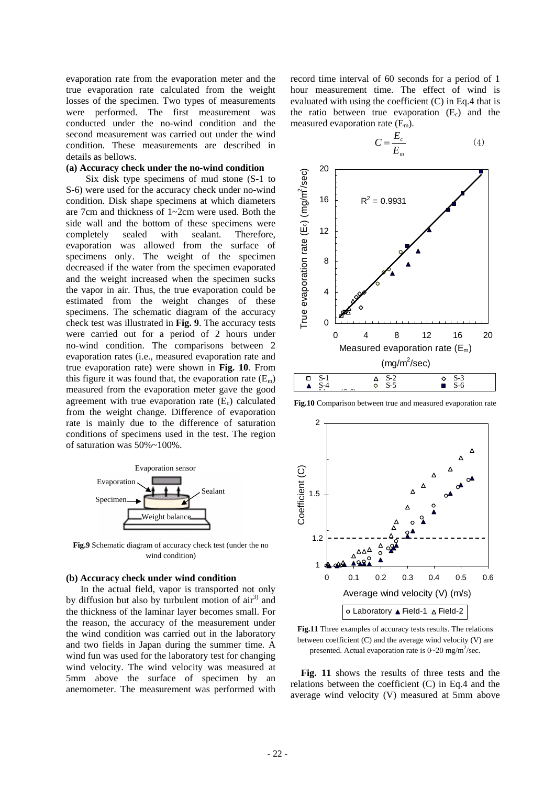evaporation rate from the evaporation meter and the true evaporation rate calculated from the weight losses of the specimen. Two types of measurements were performed. The first measurement was conducted under the no-wind condition and the second measurement was carried out under the wind condition. These measurements are described in details as bellows.

#### **(a) Accuracy check under the no-wind condition**

Six disk type specimens of mud stone (S-1 to S-6) were used for the accuracy check under no-wind condition. Disk shape specimens at which diameters are 7cm and thickness of 1~2cm were used. Both the side wall and the bottom of these specimens were completely sealed with sealant. Therefore, evaporation was allowed from the surface of specimens only. The weight of the specimen decreased if the water from the specimen evaporated and the weight increased when the specimen sucks the vapor in air. Thus, the true evaporation could be estimated from the weight changes of these specimens. The schematic diagram of the accuracy check test was illustrated in **Fig. 9**. The accuracy tests were carried out for a period of 2 hours under no-wind condition. The comparisons between 2 evaporation rates (i.e., measured evaporation rate and true evaporation rate) were shown in **Fig. 10**. From this figure it was found that, the evaporation rate  $(E_m)$ measured from the evaporation meter gave the good agreement with true evaporation rate  $(E_c)$  calculated from the weight change. Difference of evaporation rate is mainly due to the difference of saturation conditions of specimens used in the test. The region of saturation was 50%~100%.



**Fig.9** Schematic diagram of accuracy check test (under the no wind condition)

#### **(b) Accuracy check under wind condition**

 In the actual field, vapor is transported not only by diffusion but also by turbulent motion of  $air<sup>3</sup>$  and the thickness of the laminar layer becomes small. For the reason, the accuracy of the measurement under the wind condition was carried out in the laboratory and two fields in Japan during the summer time. A wind fun was used for the laboratory test for changing wind velocity. The wind velocity was measured at 5mm above the surface of specimen by an anemometer. The measurement was performed with record time interval of 60 seconds for a period of 1 hour measurement time. The effect of wind is evaluated with using the coefficient (C) in Eq.4 that is the ratio between true evaporation  $(E_c)$  and the measured evaporation rate  $(E_m)$ .



**Fig.10** Comparison between true and measured evaporation rate



**Fig.11** Three examples of accuracy tests results. The relations between coefficient (C) and the average wind velocity (V) are presented. Actual evaporation rate is  $0 \sim 20$  mg/m<sup>2</sup>/sec.

**Fig. 11** shows the results of three tests and the relations between the coefficient (C) in Eq.4 and the average wind velocity (V) measured at 5mm above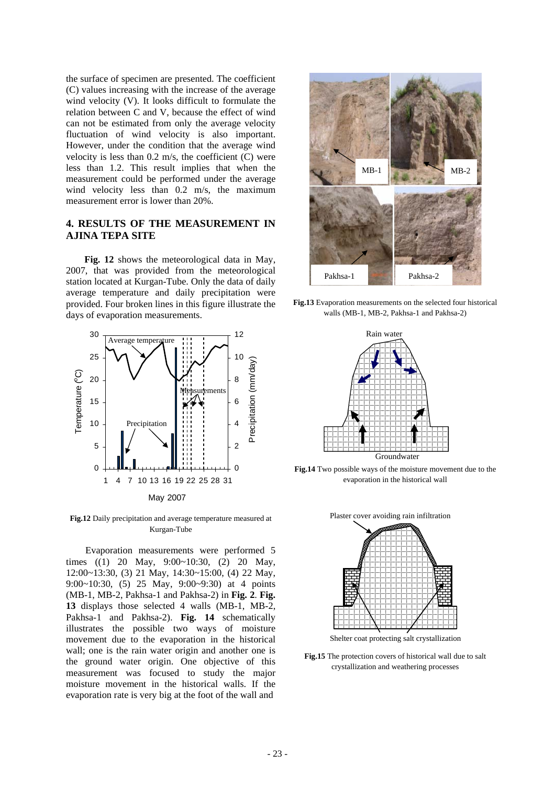the surface of specimen are presented. The coefficient (C) values increasing with the increase of the average wind velocity (V). It looks difficult to formulate the relation between C and V, because the effect of wind can not be estimated from only the average velocity fluctuation of wind velocity is also important. However, under the condition that the average wind velocity is less than  $0.2$  m/s, the coefficient  $(C)$  were less than 1.2. This result implies that when the measurement could be performed under the average wind velocity less than 0.2 m/s, the maximum measurement error is lower than 20%.

## **4. RESULTS OF THE MEASUREMENT IN AJINA TEPA SITE**

**Fig. 12** shows the meteorological data in May, 2007, that was provided from the meteorological station located at Kurgan-Tube. Only the data of daily average temperature and daily precipitation were provided. Four broken lines in this figure illustrate the days of evaporation measurements.



**Fig.12** Daily precipitation and average temperature measured at Kurgan-Tube

 Evaporation measurements were performed 5 times ((1) 20 May, 9:00~10:30, (2) 20 May, 12:00~13:30, (3) 21 May, 14:30~15:00, (4) 22 May, 9:00~10:30, (5) 25 May, 9:00~9:30) at 4 points (MB-1, MB-2, Pakhsa-1 and Pakhsa-2) in **Fig. 2**. **Fig. 13** displays those selected 4 walls (MB-1, MB-2, Pakhsa-1 and Pakhsa-2). **Fig. 14** schematically illustrates the possible two ways of moisture movement due to the evaporation in the historical wall; one is the rain water origin and another one is the ground water origin. One objective of this measurement was focused to study the major moisture movement in the historical walls. If the evaporation rate is very big at the foot of the wall and



**Fig.13** Evaporation measurements on the selected four historical walls (MB-1, MB-2, Pakhsa-1 and Pakhsa-2)



**Fig.14** Two possible ways of the moisture movement due to the evaporation in the historical wall



Shelter coat protecting salt crystallization

**Fig.15** The protection covers of historical wall due to salt crystallization and weathering processes